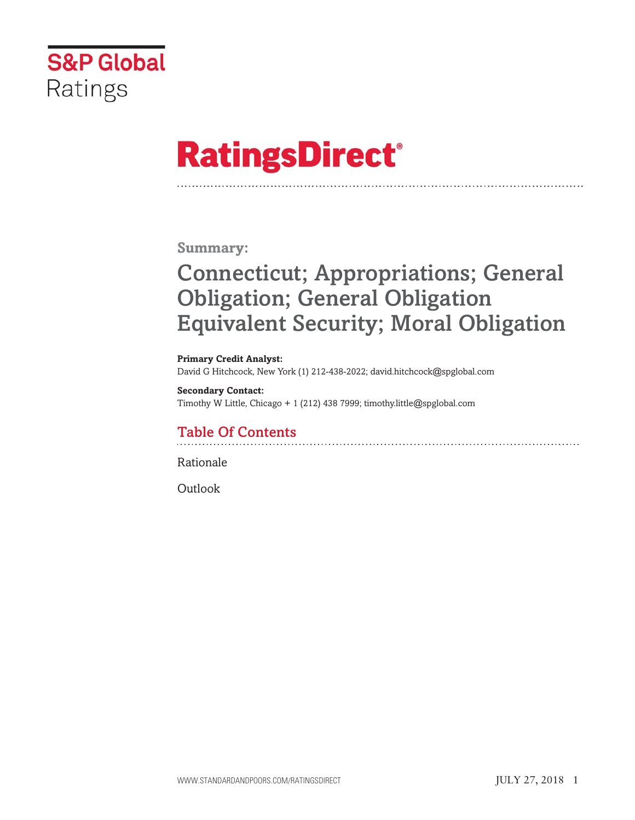

# **RatingsDirect®**

**Summary:**

# **Connecticut; Appropriations; General Obligation; General Obligation Equivalent Security; Moral Obligation**

**Primary Credit Analyst:** David G Hitchcock, New York (1) 212-438-2022; david.hitchcock@spglobal.com

**Secondary Contact:** Timothy W Little, Chicago + 1 (212) 438 7999; timothy.little@spglobal.com

## **Table Of Contents**

Rationale

Outlook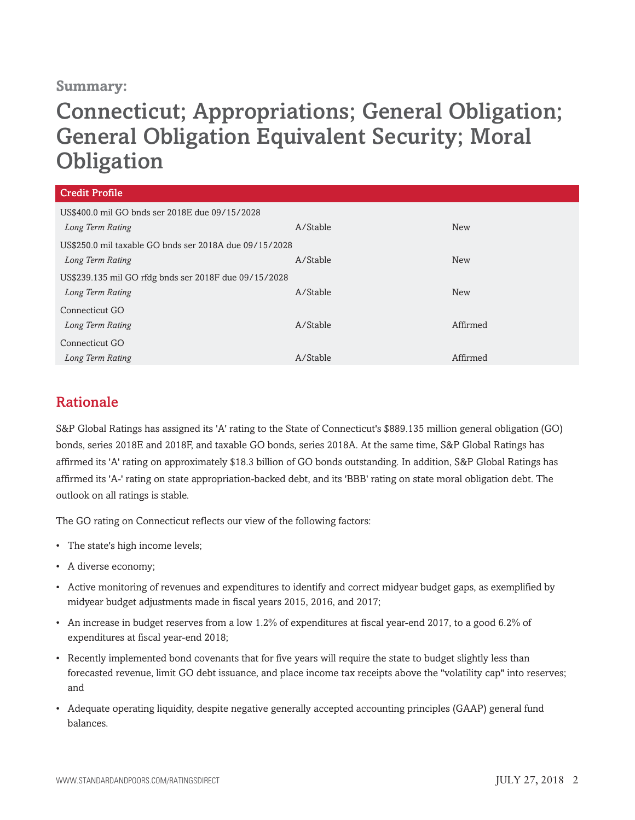#### **Summary:**

## **Connecticut; Appropriations; General Obligation; General Obligation Equivalent Security; Moral Obligation**

| <b>Credit Profile</b>                                  |          |            |
|--------------------------------------------------------|----------|------------|
| US\$400.0 mil GO bnds ser 2018E due 09/15/2028         |          |            |
| Long Term Rating                                       | A/Stable | <b>New</b> |
| US\$250.0 mil taxable GO bnds ser 2018A due 09/15/2028 |          |            |
| Long Term Rating                                       | A/Stable | <b>New</b> |
| US\$239.135 mil GO rfdg bnds ser 2018F due 09/15/2028  |          |            |
| Long Term Rating                                       | A/Stable | <b>New</b> |
| Connecticut GO                                         |          |            |
| Long Term Rating                                       | A/Stable | Affirmed   |
| Connecticut GO                                         |          |            |
| Long Term Rating                                       | A/Stable | Affirmed   |

#### **Rationale**

S&P Global Ratings has assigned its 'A' rating to the State of Connecticut's \$889.135 million general obligation (GO) bonds, series 2018E and 2018F, and taxable GO bonds, series 2018A. At the same time, S&P Global Ratings has affirmed its 'A' rating on approximately \$18.3 billion of GO bonds outstanding. In addition, S&P Global Ratings has affirmed its 'A-' rating on state appropriation-backed debt, and its 'BBB' rating on state moral obligation debt. The outlook on all ratings is stable.

The GO rating on Connecticut reflects our view of the following factors:

- The state's high income levels;
- A diverse economy;
- Active monitoring of revenues and expenditures to identify and correct midyear budget gaps, as exemplified by midyear budget adjustments made in fiscal years 2015, 2016, and 2017;
- An increase in budget reserves from a low 1.2% of expenditures at fiscal year-end 2017, to a good 6.2% of expenditures at fiscal year-end 2018;
- Recently implemented bond covenants that for five years will require the state to budget slightly less than forecasted revenue, limit GO debt issuance, and place income tax receipts above the "volatility cap" into reserves; and
- Adequate operating liquidity, despite negative generally accepted accounting principles (GAAP) general fund balances.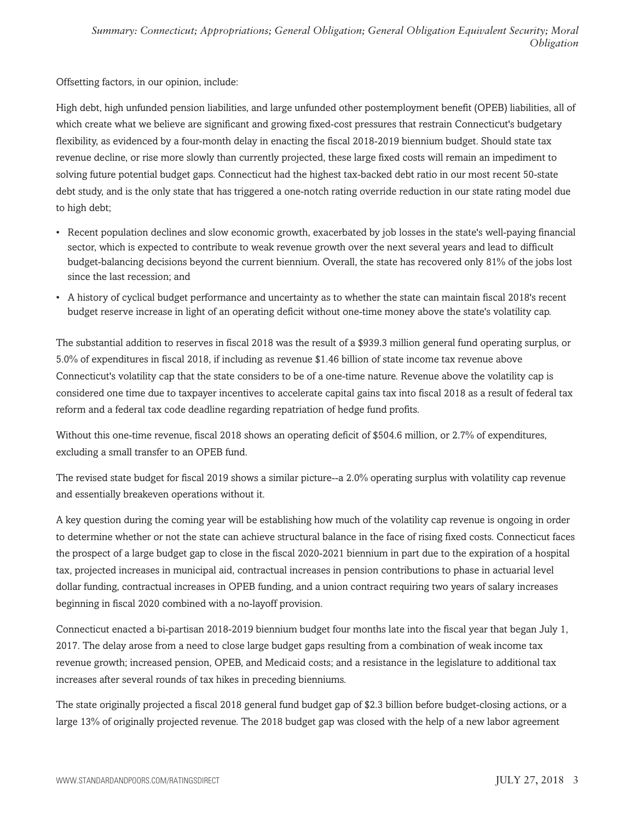Offsetting factors, in our opinion, include:

High debt, high unfunded pension liabilities, and large unfunded other postemployment benefit (OPEB) liabilities, all of which create what we believe are significant and growing fixed-cost pressures that restrain Connecticut's budgetary flexibility, as evidenced by a four-month delay in enacting the fiscal 2018-2019 biennium budget. Should state tax revenue decline, or rise more slowly than currently projected, these large fixed costs will remain an impediment to solving future potential budget gaps. Connecticut had the highest tax-backed debt ratio in our most recent 50-state debt study, and is the only state that has triggered a one-notch rating override reduction in our state rating model due to high debt;

- Recent population declines and slow economic growth, exacerbated by job losses in the state's well-paying financial sector, which is expected to contribute to weak revenue growth over the next several years and lead to difficult budget-balancing decisions beyond the current biennium. Overall, the state has recovered only 81% of the jobs lost since the last recession; and
- A history of cyclical budget performance and uncertainty as to whether the state can maintain fiscal 2018's recent budget reserve increase in light of an operating deficit without one-time money above the state's volatility cap.

The substantial addition to reserves in fiscal 2018 was the result of a \$939.3 million general fund operating surplus, or 5.0% of expenditures in fiscal 2018, if including as revenue \$1.46 billion of state income tax revenue above Connecticut's volatility cap that the state considers to be of a one-time nature. Revenue above the volatility cap is considered one time due to taxpayer incentives to accelerate capital gains tax into fiscal 2018 as a result of federal tax reform and a federal tax code deadline regarding repatriation of hedge fund profits.

Without this one-time revenue, fiscal 2018 shows an operating deficit of \$504.6 million, or 2.7% of expenditures, excluding a small transfer to an OPEB fund.

The revised state budget for fiscal 2019 shows a similar picture--a 2.0% operating surplus with volatility cap revenue and essentially breakeven operations without it.

A key question during the coming year will be establishing how much of the volatility cap revenue is ongoing in order to determine whether or not the state can achieve structural balance in the face of rising fixed costs. Connecticut faces the prospect of a large budget gap to close in the fiscal 2020-2021 biennium in part due to the expiration of a hospital tax, projected increases in municipal aid, contractual increases in pension contributions to phase in actuarial level dollar funding, contractual increases in OPEB funding, and a union contract requiring two years of salary increases beginning in fiscal 2020 combined with a no-layoff provision.

Connecticut enacted a bi-partisan 2018-2019 biennium budget four months late into the fiscal year that began July 1, 2017. The delay arose from a need to close large budget gaps resulting from a combination of weak income tax revenue growth; increased pension, OPEB, and Medicaid costs; and a resistance in the legislature to additional tax increases after several rounds of tax hikes in preceding bienniums.

The state originally projected a fiscal 2018 general fund budget gap of \$2.3 billion before budget-closing actions, or a large 13% of originally projected revenue. The 2018 budget gap was closed with the help of a new labor agreement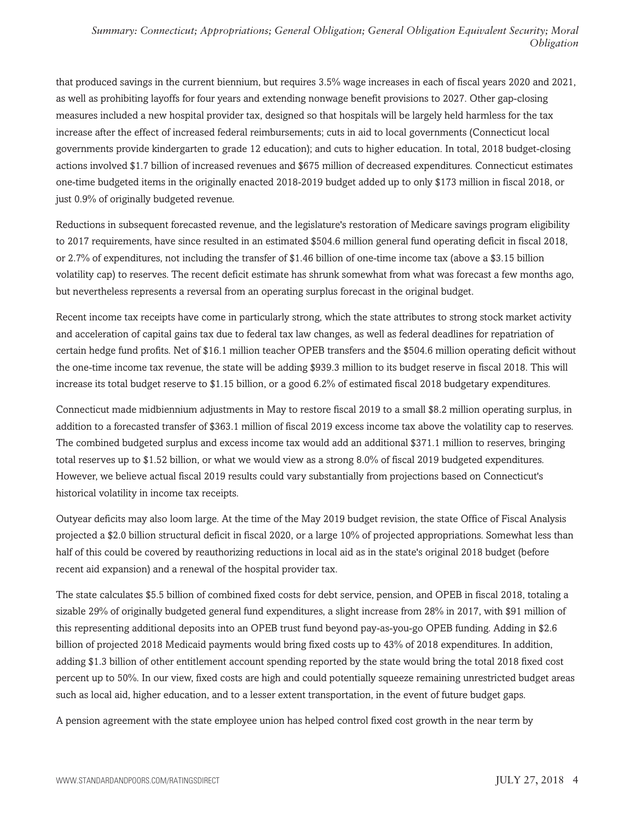that produced savings in the current biennium, but requires 3.5% wage increases in each of fiscal years 2020 and 2021, as well as prohibiting layoffs for four years and extending nonwage benefit provisions to 2027. Other gap-closing measures included a new hospital provider tax, designed so that hospitals will be largely held harmless for the tax increase after the effect of increased federal reimbursements; cuts in aid to local governments (Connecticut local governments provide kindergarten to grade 12 education); and cuts to higher education. In total, 2018 budget-closing actions involved \$1.7 billion of increased revenues and \$675 million of decreased expenditures. Connecticut estimates one-time budgeted items in the originally enacted 2018-2019 budget added up to only \$173 million in fiscal 2018, or just 0.9% of originally budgeted revenue.

Reductions in subsequent forecasted revenue, and the legislature's restoration of Medicare savings program eligibility to 2017 requirements, have since resulted in an estimated \$504.6 million general fund operating deficit in fiscal 2018, or 2.7% of expenditures, not including the transfer of \$1.46 billion of one-time income tax (above a \$3.15 billion volatility cap) to reserves. The recent deficit estimate has shrunk somewhat from what was forecast a few months ago, but nevertheless represents a reversal from an operating surplus forecast in the original budget.

Recent income tax receipts have come in particularly strong, which the state attributes to strong stock market activity and acceleration of capital gains tax due to federal tax law changes, as well as federal deadlines for repatriation of certain hedge fund profits. Net of \$16.1 million teacher OPEB transfers and the \$504.6 million operating deficit without the one-time income tax revenue, the state will be adding \$939.3 million to its budget reserve in fiscal 2018. This will increase its total budget reserve to \$1.15 billion, or a good 6.2% of estimated fiscal 2018 budgetary expenditures.

Connecticut made midbiennium adjustments in May to restore fiscal 2019 to a small \$8.2 million operating surplus, in addition to a forecasted transfer of \$363.1 million of fiscal 2019 excess income tax above the volatility cap to reserves. The combined budgeted surplus and excess income tax would add an additional \$371.1 million to reserves, bringing total reserves up to \$1.52 billion, or what we would view as a strong 8.0% of fiscal 2019 budgeted expenditures. However, we believe actual fiscal 2019 results could vary substantially from projections based on Connecticut's historical volatility in income tax receipts.

Outyear deficits may also loom large. At the time of the May 2019 budget revision, the state Office of Fiscal Analysis projected a \$2.0 billion structural deficit in fiscal 2020, or a large 10% of projected appropriations. Somewhat less than half of this could be covered by reauthorizing reductions in local aid as in the state's original 2018 budget (before recent aid expansion) and a renewal of the hospital provider tax.

The state calculates \$5.5 billion of combined fixed costs for debt service, pension, and OPEB in fiscal 2018, totaling a sizable 29% of originally budgeted general fund expenditures, a slight increase from 28% in 2017, with \$91 million of this representing additional deposits into an OPEB trust fund beyond pay-as-you-go OPEB funding. Adding in \$2.6 billion of projected 2018 Medicaid payments would bring fixed costs up to 43% of 2018 expenditures. In addition, adding \$1.3 billion of other entitlement account spending reported by the state would bring the total 2018 fixed cost percent up to 50%. In our view, fixed costs are high and could potentially squeeze remaining unrestricted budget areas such as local aid, higher education, and to a lesser extent transportation, in the event of future budget gaps.

A pension agreement with the state employee union has helped control fixed cost growth in the near term by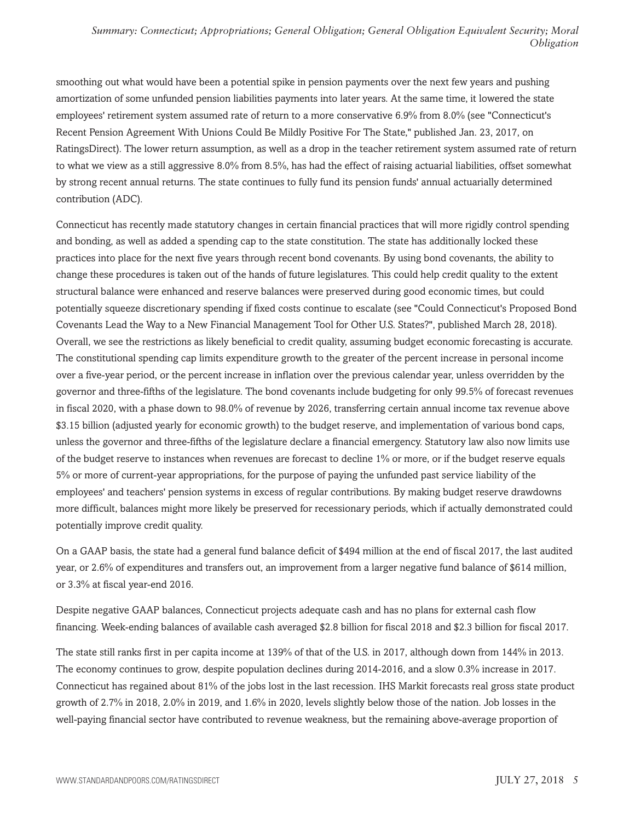smoothing out what would have been a potential spike in pension payments over the next few years and pushing amortization of some unfunded pension liabilities payments into later years. At the same time, it lowered the state employees' retirement system assumed rate of return to a more conservative 6.9% from 8.0% (see "Connecticut's Recent Pension Agreement With Unions Could Be Mildly Positive For The State," published Jan. 23, 2017, on RatingsDirect). The lower return assumption, as well as a drop in the teacher retirement system assumed rate of return to what we view as a still aggressive 8.0% from 8.5%, has had the effect of raising actuarial liabilities, offset somewhat by strong recent annual returns. The state continues to fully fund its pension funds' annual actuarially determined contribution (ADC).

Connecticut has recently made statutory changes in certain financial practices that will more rigidly control spending and bonding, as well as added a spending cap to the state constitution. The state has additionally locked these practices into place for the next five years through recent bond covenants. By using bond covenants, the ability to change these procedures is taken out of the hands of future legislatures. This could help credit quality to the extent structural balance were enhanced and reserve balances were preserved during good economic times, but could potentially squeeze discretionary spending if fixed costs continue to escalate (see "Could Connecticut's Proposed Bond Covenants Lead the Way to a New Financial Management Tool for Other U.S. States?", published March 28, 2018). Overall, we see the restrictions as likely beneficial to credit quality, assuming budget economic forecasting is accurate. The constitutional spending cap limits expenditure growth to the greater of the percent increase in personal income over a five-year period, or the percent increase in inflation over the previous calendar year, unless overridden by the governor and three-fifths of the legislature. The bond covenants include budgeting for only 99.5% of forecast revenues in fiscal 2020, with a phase down to 98.0% of revenue by 2026, transferring certain annual income tax revenue above \$3.15 billion (adjusted yearly for economic growth) to the budget reserve, and implementation of various bond caps, unless the governor and three-fifths of the legislature declare a financial emergency. Statutory law also now limits use of the budget reserve to instances when revenues are forecast to decline 1% or more, or if the budget reserve equals 5% or more of current-year appropriations, for the purpose of paying the unfunded past service liability of the employees' and teachers' pension systems in excess of regular contributions. By making budget reserve drawdowns more difficult, balances might more likely be preserved for recessionary periods, which if actually demonstrated could potentially improve credit quality.

On a GAAP basis, the state had a general fund balance deficit of \$494 million at the end of fiscal 2017, the last audited year, or 2.6% of expenditures and transfers out, an improvement from a larger negative fund balance of \$614 million, or 3.3% at fiscal year-end 2016.

Despite negative GAAP balances, Connecticut projects adequate cash and has no plans for external cash flow financing. Week-ending balances of available cash averaged \$2.8 billion for fiscal 2018 and \$2.3 billion for fiscal 2017.

The state still ranks first in per capita income at 139% of that of the U.S. in 2017, although down from 144% in 2013. The economy continues to grow, despite population declines during 2014-2016, and a slow 0.3% increase in 2017. Connecticut has regained about 81% of the jobs lost in the last recession. IHS Markit forecasts real gross state product growth of 2.7% in 2018, 2.0% in 2019, and 1.6% in 2020, levels slightly below those of the nation. Job losses in the well-paying financial sector have contributed to revenue weakness, but the remaining above-average proportion of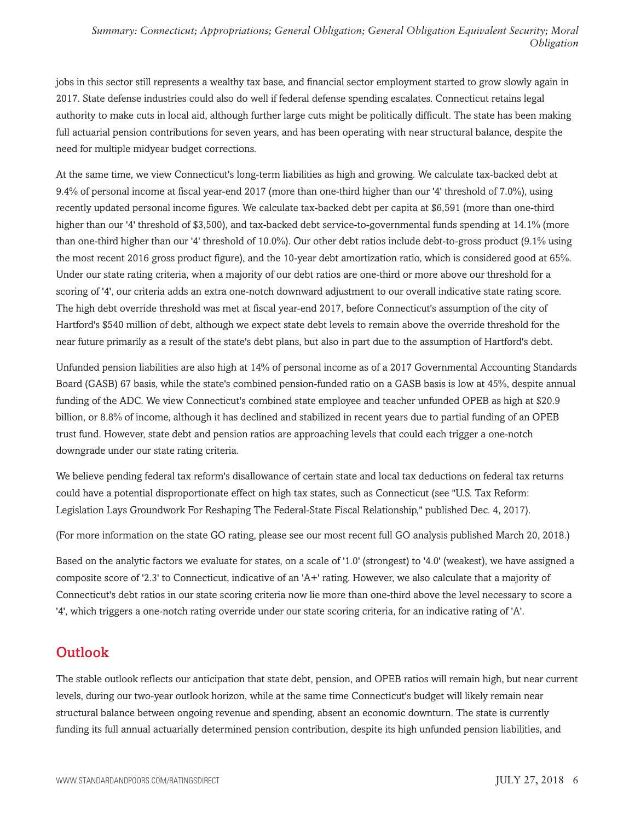jobs in this sector still represents a wealthy tax base, and financial sector employment started to grow slowly again in 2017. State defense industries could also do well if federal defense spending escalates. Connecticut retains legal authority to make cuts in local aid, although further large cuts might be politically difficult. The state has been making full actuarial pension contributions for seven years, and has been operating with near structural balance, despite the need for multiple midyear budget corrections.

At the same time, we view Connecticut's long-term liabilities as high and growing. We calculate tax-backed debt at 9.4% of personal income at fiscal year-end 2017 (more than one-third higher than our '4' threshold of 7.0%), using recently updated personal income figures. We calculate tax-backed debt per capita at \$6,591 (more than one-third higher than our '4' threshold of \$3,500), and tax-backed debt service-to-governmental funds spending at 14.1% (more than one-third higher than our '4' threshold of 10.0%). Our other debt ratios include debt-to-gross product (9.1% using the most recent 2016 gross product figure), and the 10-year debt amortization ratio, which is considered good at 65%. Under our state rating criteria, when a majority of our debt ratios are one-third or more above our threshold for a scoring of '4', our criteria adds an extra one-notch downward adjustment to our overall indicative state rating score. The high debt override threshold was met at fiscal year-end 2017, before Connecticut's assumption of the city of Hartford's \$540 million of debt, although we expect state debt levels to remain above the override threshold for the near future primarily as a result of the state's debt plans, but also in part due to the assumption of Hartford's debt.

Unfunded pension liabilities are also high at 14% of personal income as of a 2017 Governmental Accounting Standards Board (GASB) 67 basis, while the state's combined pension-funded ratio on a GASB basis is low at 45%, despite annual funding of the ADC. We view Connecticut's combined state employee and teacher unfunded OPEB as high at \$20.9 billion, or 8.8% of income, although it has declined and stabilized in recent years due to partial funding of an OPEB trust fund. However, state debt and pension ratios are approaching levels that could each trigger a one-notch downgrade under our state rating criteria.

We believe pending federal tax reform's disallowance of certain state and local tax deductions on federal tax returns could have a potential disproportionate effect on high tax states, such as Connecticut (see "U.S. Tax Reform: Legislation Lays Groundwork For Reshaping The Federal-State Fiscal Relationship," published Dec. 4, 2017).

(For more information on the state GO rating, please see our most recent full GO analysis published March 20, 2018.)

Based on the analytic factors we evaluate for states, on a scale of '1.0' (strongest) to '4.0' (weakest), we have assigned a composite score of '2.3' to Connecticut, indicative of an 'A+' rating. However, we also calculate that a majority of Connecticut's debt ratios in our state scoring criteria now lie more than one-third above the level necessary to score a '4', which triggers a one-notch rating override under our state scoring criteria, for an indicative rating of 'A'.

## **Outlook**

The stable outlook reflects our anticipation that state debt, pension, and OPEB ratios will remain high, but near current levels, during our two-year outlook horizon, while at the same time Connecticut's budget will likely remain near structural balance between ongoing revenue and spending, absent an economic downturn. The state is currently funding its full annual actuarially determined pension contribution, despite its high unfunded pension liabilities, and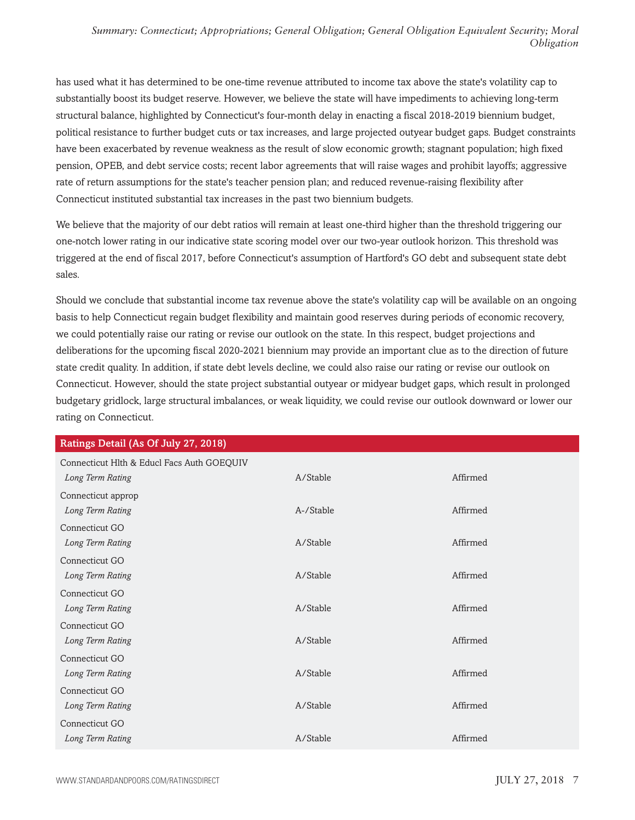has used what it has determined to be one-time revenue attributed to income tax above the state's volatility cap to substantially boost its budget reserve. However, we believe the state will have impediments to achieving long-term structural balance, highlighted by Connecticut's four-month delay in enacting a fiscal 2018-2019 biennium budget, political resistance to further budget cuts or tax increases, and large projected outyear budget gaps. Budget constraints have been exacerbated by revenue weakness as the result of slow economic growth; stagnant population; high fixed pension, OPEB, and debt service costs; recent labor agreements that will raise wages and prohibit layoffs; aggressive rate of return assumptions for the state's teacher pension plan; and reduced revenue-raising flexibility after Connecticut instituted substantial tax increases in the past two biennium budgets.

We believe that the majority of our debt ratios will remain at least one-third higher than the threshold triggering our one-notch lower rating in our indicative state scoring model over our two-year outlook horizon. This threshold was triggered at the end of fiscal 2017, before Connecticut's assumption of Hartford's GO debt and subsequent state debt sales.

Should we conclude that substantial income tax revenue above the state's volatility cap will be available on an ongoing basis to help Connecticut regain budget flexibility and maintain good reserves during periods of economic recovery, we could potentially raise our rating or revise our outlook on the state. In this respect, budget projections and deliberations for the upcoming fiscal 2020-2021 biennium may provide an important clue as to the direction of future state credit quality. In addition, if state debt levels decline, we could also raise our rating or revise our outlook on Connecticut. However, should the state project substantial outyear or midyear budget gaps, which result in prolonged budgetary gridlock, large structural imbalances, or weak liquidity, we could revise our outlook downward or lower our rating on Connecticut.

| Ratings Detail (As Of July 27, 2018)       |           |          |  |
|--------------------------------------------|-----------|----------|--|
| Connecticut Hlth & Educl Facs Auth GOEQUIV |           |          |  |
| Long Term Rating                           | A/Stable  | Affirmed |  |
| Connecticut approp                         |           |          |  |
| Long Term Rating                           | A-/Stable | Affirmed |  |
| Connecticut GO                             |           |          |  |
| Long Term Rating                           | A/Stable  | Affirmed |  |
| Connecticut GO                             |           |          |  |
| Long Term Rating                           | A/Stable  | Affirmed |  |
| Connecticut GO                             |           |          |  |
| Long Term Rating                           | A/Stable  | Affirmed |  |
| Connecticut GO                             |           |          |  |
| Long Term Rating                           | A/Stable  | Affirmed |  |
| Connecticut GO                             |           |          |  |
| Long Term Rating                           | A/Stable  | Affirmed |  |
| Connecticut GO                             |           |          |  |
| Long Term Rating                           | A/Stable  | Affirmed |  |
| Connecticut GO                             |           |          |  |
| Long Term Rating                           | A/Stable  | Affirmed |  |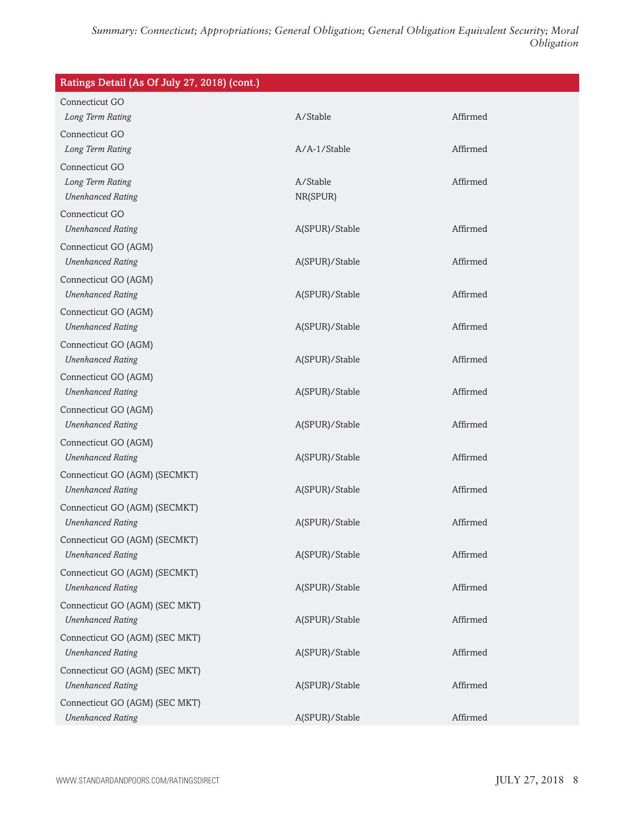| Ratings Detail (As Of July 27, 2018) (cont.) |                |          |
|----------------------------------------------|----------------|----------|
| Connecticut GO                               |                |          |
| Long Term Rating                             | A/Stable       | Affirmed |
| Connecticut GO                               |                |          |
| Long Term Rating                             | $A/A-1/Stable$ | Affirmed |
| Connecticut GO                               |                |          |
| Long Term Rating                             | A/Stable       | Affirmed |
| <b>Unenhanced Rating</b>                     | NR(SPUR)       |          |
| Connecticut GO                               |                |          |
| <b>Unenhanced Rating</b>                     | A(SPUR)/Stable | Affirmed |
| Connecticut GO (AGM)                         |                |          |
| <b>Unenhanced Rating</b>                     | A(SPUR)/Stable | Affirmed |
| Connecticut GO (AGM)                         |                |          |
| <b>Unenhanced Rating</b>                     | A(SPUR)/Stable | Affirmed |
| Connecticut GO (AGM)                         |                |          |
| <b>Unenhanced Rating</b>                     | A(SPUR)/Stable | Affirmed |
| Connecticut GO (AGM)                         |                |          |
| <b>Unenhanced Rating</b>                     | A(SPUR)/Stable | Affirmed |
| Connecticut GO (AGM)                         |                |          |
| <b>Unenhanced Rating</b>                     | A(SPUR)/Stable | Affirmed |
| Connecticut GO (AGM)                         |                |          |
| <b>Unenhanced Rating</b>                     | A(SPUR)/Stable | Affirmed |
| Connecticut GO (AGM)                         |                |          |
| <b>Unenhanced Rating</b>                     | A(SPUR)/Stable | Affirmed |
| Connecticut GO (AGM) (SECMKT)                |                |          |
| <b>Unenhanced Rating</b>                     | A(SPUR)/Stable | Affirmed |
| Connecticut GO (AGM) (SECMKT)                |                |          |
| <b>Unenhanced Rating</b>                     | A(SPUR)/Stable | Affirmed |
| Connecticut GO (AGM) (SECMKT)                |                |          |
| <b>Unenhanced Rating</b>                     | A(SPUR)/Stable | Affirmed |
| Connecticut GO (AGM) (SECMKT)                |                |          |
| <b>Unenhanced Rating</b>                     | A(SPUR)/Stable | Affirmed |
| Connecticut GO (AGM) (SEC MKT)               |                |          |
| <b>Unenhanced Rating</b>                     | A(SPUR)/Stable | Affirmed |
| Connecticut GO (AGM) (SEC MKT)               |                |          |
| <b>Unenhanced Rating</b>                     | A(SPUR)/Stable | Affirmed |
| Connecticut GO (AGM) (SEC MKT)               |                |          |
| <b>Unenhanced Rating</b>                     | A(SPUR)/Stable | Affirmed |
| Connecticut GO (AGM) (SEC MKT)               |                |          |
| <b>Unenhanced Rating</b>                     | A(SPUR)/Stable | Affirmed |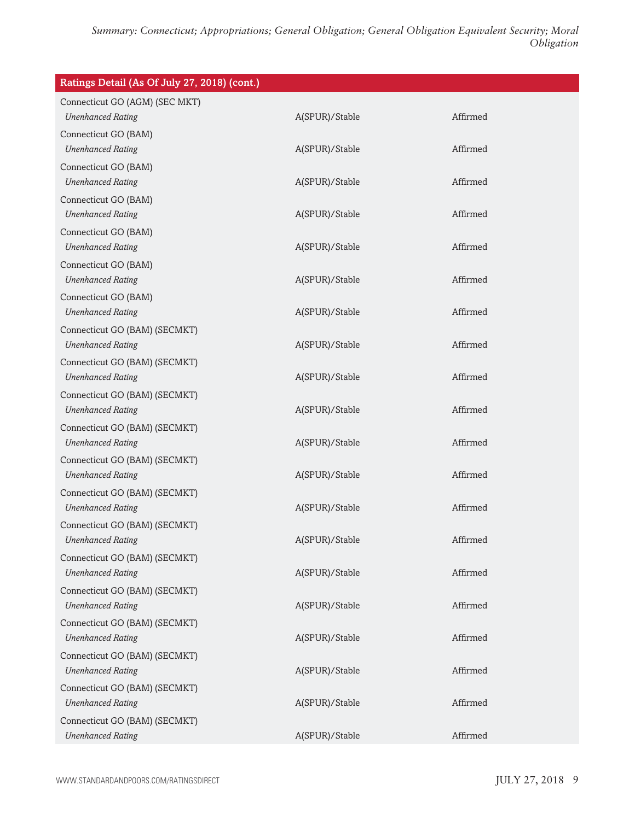| Ratings Detail (As Of July 27, 2018) (cont.)              |                |          |
|-----------------------------------------------------------|----------------|----------|
| Connecticut GO (AGM) (SEC MKT)                            |                |          |
| <b>Unenhanced Rating</b>                                  | A(SPUR)/Stable | Affirmed |
| Connecticut GO (BAM)                                      |                |          |
| <b>Unenhanced Rating</b>                                  | A(SPUR)/Stable | Affirmed |
| Connecticut GO (BAM)                                      |                |          |
| <b>Unenhanced Rating</b>                                  | A(SPUR)/Stable | Affirmed |
| Connecticut GO (BAM)                                      |                |          |
| <b>Unenhanced Rating</b>                                  | A(SPUR)/Stable | Affirmed |
| Connecticut GO (BAM)<br><b>Unenhanced Rating</b>          | A(SPUR)/Stable | Affirmed |
| Connecticut GO (BAM)                                      |                |          |
| <b>Unenhanced Rating</b>                                  | A(SPUR)/Stable | Affirmed |
| Connecticut GO (BAM)                                      |                |          |
| <b>Unenhanced Rating</b>                                  | A(SPUR)/Stable | Affirmed |
| Connecticut GO (BAM) (SECMKT)                             |                |          |
| <b>Unenhanced Rating</b>                                  | A(SPUR)/Stable | Affirmed |
| Connecticut GO (BAM) (SECMKT)                             |                |          |
| <b>Unenhanced Rating</b>                                  | A(SPUR)/Stable | Affirmed |
| Connecticut GO (BAM) (SECMKT)                             |                |          |
| <b>Unenhanced Rating</b>                                  | A(SPUR)/Stable | Affirmed |
| Connecticut GO (BAM) (SECMKT)                             |                |          |
| <b>Unenhanced Rating</b>                                  | A(SPUR)/Stable | Affirmed |
| Connecticut GO (BAM) (SECMKT)                             |                |          |
| <b>Unenhanced Rating</b>                                  | A(SPUR)/Stable | Affirmed |
| Connecticut GO (BAM) (SECMKT)                             |                |          |
| <b>Unenhanced Rating</b>                                  | A(SPUR)/Stable | Affirmed |
| Connecticut GO (BAM) (SECMKT)                             |                | Affirmed |
| <b>Unenhanced Rating</b>                                  | A(SPUR)/Stable |          |
| Connecticut GO (BAM) (SECMKT)<br><b>Unenhanced Rating</b> | A(SPUR)/Stable | Affirmed |
| Connecticut GO (BAM) (SECMKT)                             |                |          |
| <b>Unenhanced Rating</b>                                  | A(SPUR)/Stable | Affirmed |
| Connecticut GO (BAM) (SECMKT)                             |                |          |
| <b>Unenhanced Rating</b>                                  | A(SPUR)/Stable | Affirmed |
| Connecticut GO (BAM) (SECMKT)                             |                |          |
| <b>Unenhanced Rating</b>                                  | A(SPUR)/Stable | Affirmed |
| Connecticut GO (BAM) (SECMKT)                             |                |          |
| <b>Unenhanced Rating</b>                                  | A(SPUR)/Stable | Affirmed |
| Connecticut GO (BAM) (SECMKT)                             |                |          |
| <b>Unenhanced Rating</b>                                  | A(SPUR)/Stable | Affirmed |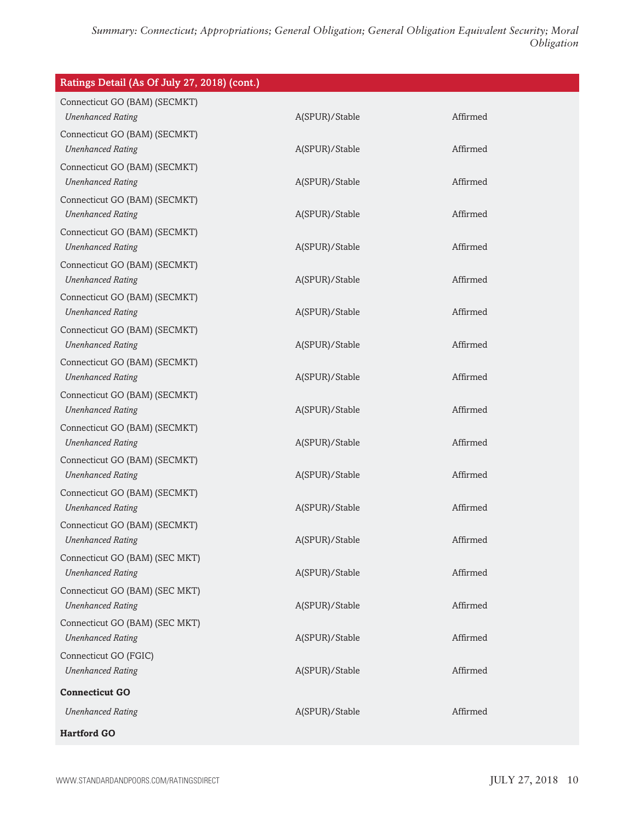| Ratings Detail (As Of July 27, 2018) (cont.)               |                |          |
|------------------------------------------------------------|----------------|----------|
| Connecticut GO (BAM) (SECMKT)<br><b>Unenhanced Rating</b>  | A(SPUR)/Stable | Affirmed |
| Connecticut GO (BAM) (SECMKT)<br><b>Unenhanced Rating</b>  | A(SPUR)/Stable | Affirmed |
| Connecticut GO (BAM) (SECMKT)<br><b>Unenhanced Rating</b>  | A(SPUR)/Stable | Affirmed |
| Connecticut GO (BAM) (SECMKT)<br><b>Unenhanced Rating</b>  | A(SPUR)/Stable | Affirmed |
| Connecticut GO (BAM) (SECMKT)<br><b>Unenhanced Rating</b>  | A(SPUR)/Stable | Affirmed |
| Connecticut GO (BAM) (SECMKT)<br><b>Unenhanced Rating</b>  | A(SPUR)/Stable | Affirmed |
| Connecticut GO (BAM) (SECMKT)<br><b>Unenhanced Rating</b>  | A(SPUR)/Stable | Affirmed |
| Connecticut GO (BAM) (SECMKT)<br><b>Unenhanced Rating</b>  | A(SPUR)/Stable | Affirmed |
| Connecticut GO (BAM) (SECMKT)<br><b>Unenhanced Rating</b>  | A(SPUR)/Stable | Affirmed |
| Connecticut GO (BAM) (SECMKT)<br><b>Unenhanced Rating</b>  | A(SPUR)/Stable | Affirmed |
| Connecticut GO (BAM) (SECMKT)<br><b>Unenhanced Rating</b>  | A(SPUR)/Stable | Affirmed |
| Connecticut GO (BAM) (SECMKT)<br><b>Unenhanced Rating</b>  | A(SPUR)/Stable | Affirmed |
| Connecticut GO (BAM) (SECMKT)<br><b>Unenhanced Rating</b>  | A(SPUR)/Stable | Affirmed |
| Connecticut GO (BAM) (SECMKT)<br><b>Unenhanced Rating</b>  | A(SPUR)/Stable | Affirmed |
| Connecticut GO (BAM) (SEC MKT)<br><b>Unenhanced Rating</b> | A(SPUR)/Stable | Affirmed |
| Connecticut GO (BAM) (SEC MKT)<br><b>Unenhanced Rating</b> | A(SPUR)/Stable | Affirmed |
| Connecticut GO (BAM) (SEC MKT)<br><b>Unenhanced Rating</b> | A(SPUR)/Stable | Affirmed |
| Connecticut GO (FGIC)<br><b>Unenhanced Rating</b>          | A(SPUR)/Stable | Affirmed |
| <b>Connecticut GO</b>                                      |                |          |
| <b>Unenhanced Rating</b>                                   | A(SPUR)/Stable | Affirmed |
| <b>Hartford GO</b>                                         |                |          |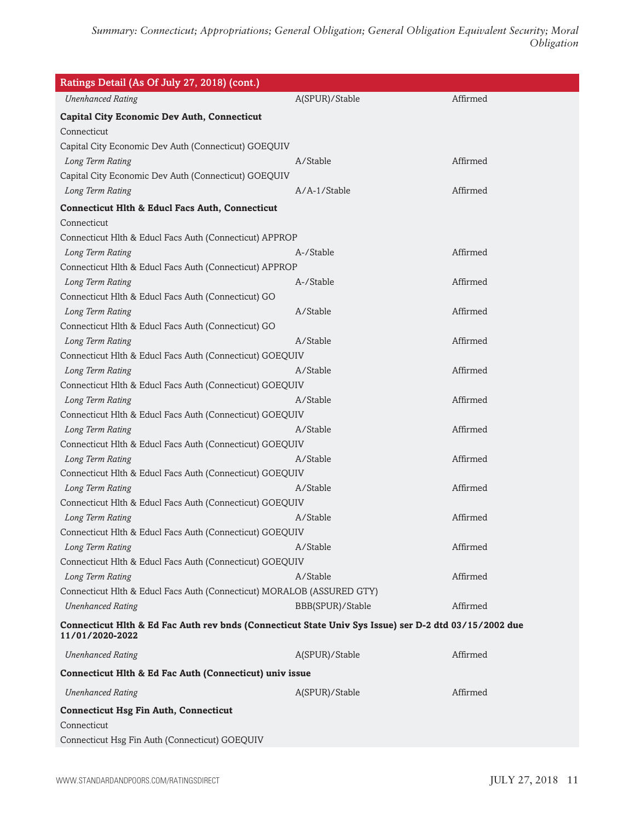| Ratings Detail (As Of July 27, 2018) (cont.)                                                                             |                  |          |
|--------------------------------------------------------------------------------------------------------------------------|------------------|----------|
| <b>Unenhanced Rating</b>                                                                                                 | A(SPUR)/Stable   | Affirmed |
| <b>Capital City Economic Dev Auth, Connecticut</b>                                                                       |                  |          |
| Connecticut                                                                                                              |                  |          |
| Capital City Economic Dev Auth (Connecticut) GOEQUIV                                                                     |                  |          |
| Long Term Rating                                                                                                         | A/Stable         | Affirmed |
| Capital City Economic Dev Auth (Connecticut) GOEQUIV                                                                     |                  |          |
| Long Term Rating                                                                                                         | A/A-1/Stable     | Affirmed |
| <b>Connecticut Hlth &amp; Educl Facs Auth, Connecticut</b>                                                               |                  |          |
| Connecticut                                                                                                              |                  |          |
| Connecticut Hlth & Educl Facs Auth (Connecticut) APPROP                                                                  |                  |          |
| Long Term Rating                                                                                                         | A-/Stable        | Affirmed |
| Connecticut Hlth & Educl Facs Auth (Connecticut) APPROP                                                                  |                  |          |
| Long Term Rating                                                                                                         | A-/Stable        | Affirmed |
| Connecticut Hlth & Educl Facs Auth (Connecticut) GO                                                                      |                  |          |
| Long Term Rating                                                                                                         | A/Stable         | Affirmed |
| Connecticut Hlth & Educl Facs Auth (Connecticut) GO                                                                      |                  |          |
| Long Term Rating                                                                                                         | A/Stable         | Affirmed |
| Connecticut Hlth & Educl Facs Auth (Connecticut) GOEQUIV                                                                 |                  |          |
| Long Term Rating                                                                                                         | A/Stable         | Affirmed |
| Connecticut Hlth & Educl Facs Auth (Connecticut) GOEQUIV                                                                 |                  |          |
| Long Term Rating                                                                                                         | A/Stable         | Affirmed |
| Connecticut Hlth & Educl Facs Auth (Connecticut) GOEQUIV                                                                 |                  |          |
| Long Term Rating                                                                                                         | A/Stable         | Affirmed |
| Connecticut Hlth & Educl Facs Auth (Connecticut) GOEQUIV                                                                 |                  |          |
| Long Term Rating                                                                                                         | A/Stable         | Affirmed |
| Connecticut Hlth & Educl Facs Auth (Connecticut) GOEQUIV                                                                 |                  |          |
| Long Term Rating                                                                                                         | A/Stable         | Affirmed |
| Connecticut Hlth & Educl Facs Auth (Connecticut) GOEQUIV                                                                 |                  |          |
| Long Term Rating                                                                                                         | A/Stable         | Affirmed |
| Connecticut Hlth & Educl Facs Auth (Connecticut) GOEQUIV                                                                 |                  |          |
| Long Term Rating                                                                                                         | A/Stable         | Affirmed |
| Connecticut Hlth & Educl Facs Auth (Connecticut) GOEQUIV                                                                 |                  |          |
| Long Term Rating                                                                                                         | A/Stable         | Affirmed |
| Connecticut Hlth & Educl Facs Auth (Connecticut) MORALOB (ASSURED GTY)                                                   |                  |          |
| <b>Unenhanced Rating</b>                                                                                                 | BBB(SPUR)/Stable | Affirmed |
| Connecticut Hlth & Ed Fac Auth rev bnds (Connecticut State Univ Sys Issue) ser D-2 dtd 03/15/2002 due<br>11/01/2020-2022 |                  |          |
| <b>Unenhanced Rating</b>                                                                                                 | A(SPUR)/Stable   | Affirmed |
| Connecticut Hlth & Ed Fac Auth (Connecticut) univ issue                                                                  |                  |          |
| <b>Unenhanced Rating</b>                                                                                                 | A(SPUR)/Stable   | Affirmed |
| <b>Connecticut Hsg Fin Auth, Connecticut</b>                                                                             |                  |          |
| Connecticut                                                                                                              |                  |          |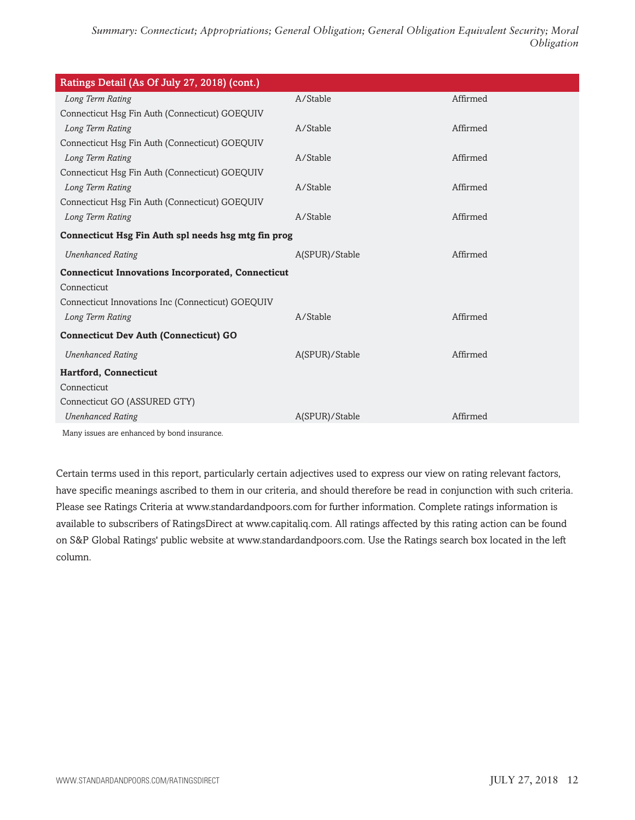| Ratings Detail (As Of July 27, 2018) (cont.)             |                |          |
|----------------------------------------------------------|----------------|----------|
| Long Term Rating                                         | A/Stable       | Affirmed |
| Connecticut Hsg Fin Auth (Connecticut) GOEQUIV           |                |          |
| Long Term Rating                                         | A/Stable       | Affirmed |
| Connecticut Hsg Fin Auth (Connecticut) GOEQUIV           |                |          |
| Long Term Rating                                         | A/Stable       | Affirmed |
| Connecticut Hsg Fin Auth (Connecticut) GOEQUIV           |                |          |
| Long Term Rating                                         | A/Stable       | Affirmed |
| Connecticut Hsg Fin Auth (Connecticut) GOEQUIV           |                |          |
| Long Term Rating                                         | A/Stable       | Affirmed |
| Connecticut Hsg Fin Auth spl needs hsg mtg fin prog      |                |          |
| <b>Unenhanced Rating</b>                                 | A(SPUR)/Stable | Affirmed |
| <b>Connecticut Innovations Incorporated, Connecticut</b> |                |          |
| Connecticut                                              |                |          |
| Connecticut Innovations Inc (Connecticut) GOEQUIV        |                |          |
| Long Term Rating                                         | A/Stable       | Affirmed |
| <b>Connecticut Dev Auth (Connecticut) GO</b>             |                |          |
| <b>Unenhanced Rating</b>                                 | A(SPUR)/Stable | Affirmed |
| <b>Hartford, Connecticut</b>                             |                |          |
| Connecticut                                              |                |          |
| Connecticut GO (ASSURED GTY)                             |                |          |
| <b>Unenhanced Rating</b>                                 | A(SPUR)/Stable | Affirmed |
| Many issues are enhanced by bond insurance.              |                |          |

Certain terms used in this report, particularly certain adjectives used to express our view on rating relevant factors, have specific meanings ascribed to them in our criteria, and should therefore be read in conjunction with such criteria. Please see Ratings Criteria at www.standardandpoors.com for further information. Complete ratings information is available to subscribers of RatingsDirect at www.capitaliq.com. All ratings affected by this rating action can be found on S&P Global Ratings' public website at www.standardandpoors.com. Use the Ratings search box located in the left column.